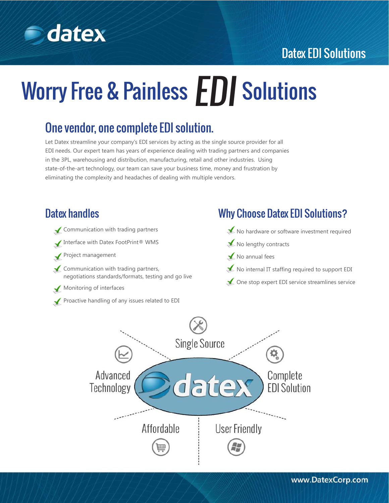

# **S** datex

# Worry Free & Painless **EDI** Solutions

### One vendor, one complete EDI solution.

Let Datex streamline your company's EDI services by acting as the single source provider for all EDI needs. Our expert team has years of experience dealing with trading partners and companies in the 3PL, warehousing and distribution, manufacturing, retail and other industries. Using state-of-the-art technology, our team can save your business time, money and frustration by eliminating the complexity and headaches of dealing with multiple vendors.

#### Datex handles

- Communication with trading partners
- Interface with Datex FootPrint® WMS
- Project management
- $\blacktriangleright$  Communication with trading partners, negotiations standards/formats, testing and go live
- Monitoring of interfaces
- Proactive handling of any issues related to EDI

#### Why Choose Datex EDI Solutions?

- No hardware or software investment required
- No lengthy contracts
- $\blacktriangleright$  No annual fees
- $\blacktriangleright$  No internal IT staffing required to support EDI
- One stop expert EDI service streamlines service